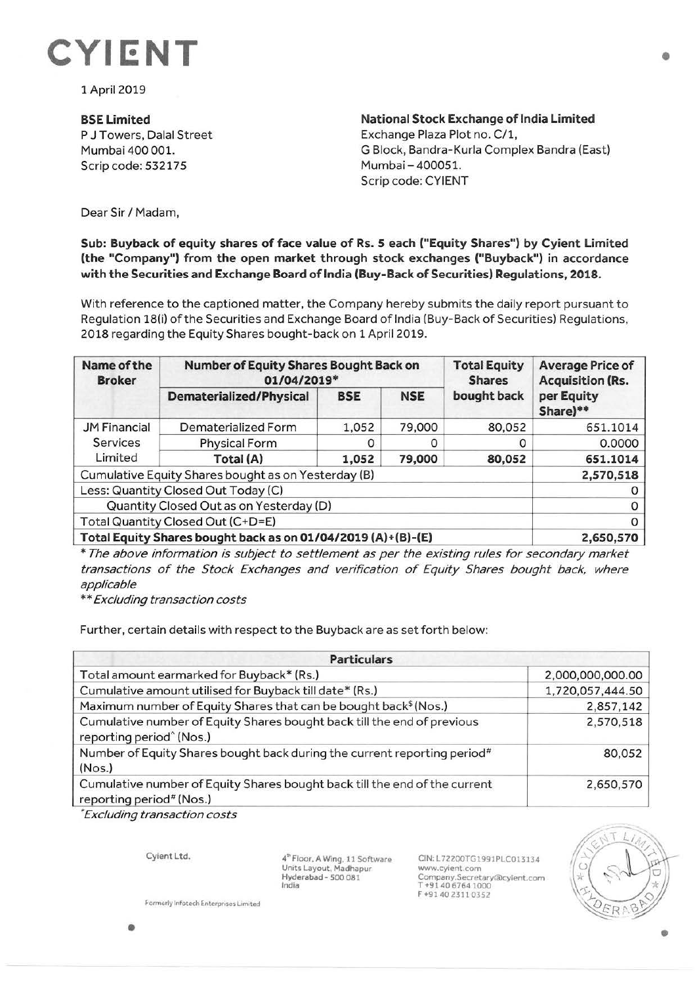

1 April 2019

## **BSELimited**

P J Towers, Dalal Street Mumbai 400 001. Scrip code: 532175

**National Stock Exchange of India Limited**  Exchange Plaza Plot no. C/1, G Block, Bandra-Kurla Complex Sandra (East) Mumbai - 400051. Scrip code: CYIENT

Dear Sir/ Madam,

## **Sub: Buyback of equity shares of face value of Rs. 5 each ("Equity Shares") by Cyient Limited (the "Company") from the open market through stock exchanges ("Buyback") in accordance with the Securities and Exchange Board oflndia (Buy-Back of Securities) Regulations, 2018.**

With reference to the captioned matter, the Company hereby submits the daily report pursuant to Regulation 18(i) of the Securities and Exchange Board of India (Buy-Back of Securities) Regulations, 2018 regarding the Equity Shares bought-back on 1 April 2019.

| Name of the<br><b>Broker</b>                                 | Number of Equity Shares Bought Back on<br>01/04/2019* |            |            | <b>Total Equity</b><br><b>Shares</b> | <b>Average Price of</b><br><b>Acquisition (Rs.</b> |
|--------------------------------------------------------------|-------------------------------------------------------|------------|------------|--------------------------------------|----------------------------------------------------|
|                                                              | <b>Dematerialized/Physical</b>                        | <b>BSE</b> | <b>NSE</b> | bought back                          | per Equity<br>Share)**                             |
| <b>JM Financial</b><br>Services<br>Limited                   | Dematerialized Form                                   | 1,052      | 79,000     | 80,052                               | 651.1014                                           |
|                                                              | <b>Physical Form</b>                                  |            | Ο          |                                      | 0.0000                                             |
|                                                              | Total (A)                                             | 1,052      | 79,000     | 80,052                               | 651.1014                                           |
| Cumulative Equity Shares bought as on Yesterday (B)          | 2,570,518                                             |            |            |                                      |                                                    |
| Less: Quantity Closed Out Today (C)                          |                                                       |            |            |                                      |                                                    |
| Quantity Closed Out as on Yesterday (D)                      |                                                       |            |            |                                      |                                                    |
| Total Quantity Closed Out (C+D=E)                            |                                                       |            |            |                                      |                                                    |
| Total Equity Shares bought back as on 01/04/2019 (A)+(B)-(E) |                                                       |            |            |                                      | 2,650,570                                          |

\* The above information is subject to settlement as per the existing rules for secondary market transactions of the Stock Exchanges and verification of Equity Shares bought back, where applicable

\*\* Excluding transaction costs

Further, certain details with respect to the Buyback are as set forth below:

| <b>Particulars</b>                                                                                              |                  |  |  |  |
|-----------------------------------------------------------------------------------------------------------------|------------------|--|--|--|
| Total amount earmarked for Buyback* (Rs.)                                                                       | 2,000,000,000.00 |  |  |  |
| Cumulative amount utilised for Buyback till date* (Rs.)                                                         | 1,720,057,444.50 |  |  |  |
| Maximum number of Equity Shares that can be bought back <sup>\$</sup> (Nos.)                                    | 2,857,142        |  |  |  |
| Cumulative number of Equity Shares bought back till the end of previous<br>reporting period <sup>^</sup> (Nos.) | 2,570,518        |  |  |  |
| Number of Equity Shares bought back during the current reporting period <sup>#</sup><br>(Nos.)                  | 80,052           |  |  |  |
| Cumulative number of Equity Shares bought back till the end of the current<br>reporting period# (Nos.)          | 2,650,570        |  |  |  |

• Excluding transaction costs

Cyient Ltd.

4" Floor, A Wing, 11 Software<br>Units Layout, Madhapur Hyderabad - 500 081 India

CIN:L72200TG1991PLC013134 www.cyient.com Company.Secretary®cyient.com T +9140 6764 1000 F +9140 2311 0352



Formerly Infotech Enterprises Limited

•